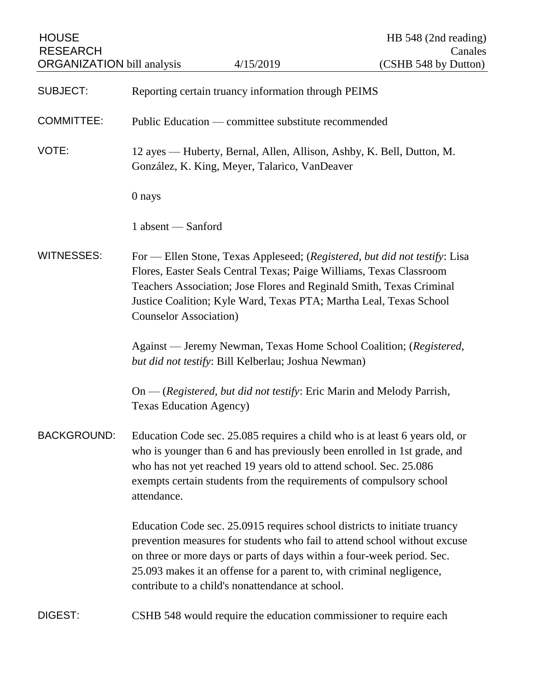| <b>HOUSE</b><br><b>RESEARCH</b>   |                                                                                                                                                                                                                                                                                                                                                               |           | HB 548 (2nd reading)<br>Canales                                         |
|-----------------------------------|---------------------------------------------------------------------------------------------------------------------------------------------------------------------------------------------------------------------------------------------------------------------------------------------------------------------------------------------------------------|-----------|-------------------------------------------------------------------------|
| <b>ORGANIZATION</b> bill analysis |                                                                                                                                                                                                                                                                                                                                                               | 4/15/2019 | (CSHB 548 by Dutton)                                                    |
| <b>SUBJECT:</b>                   | Reporting certain truancy information through PEIMS                                                                                                                                                                                                                                                                                                           |           |                                                                         |
| <b>COMMITTEE:</b>                 | Public Education — committee substitute recommended                                                                                                                                                                                                                                                                                                           |           |                                                                         |
| VOTE:                             | 12 ayes — Huberty, Bernal, Allen, Allison, Ashby, K. Bell, Dutton, M.<br>González, K. King, Meyer, Talarico, VanDeaver                                                                                                                                                                                                                                        |           |                                                                         |
|                                   | 0 nays                                                                                                                                                                                                                                                                                                                                                        |           |                                                                         |
|                                   | 1 absent - Sanford                                                                                                                                                                                                                                                                                                                                            |           |                                                                         |
| <b>WITNESSES:</b>                 | For — Ellen Stone, Texas Appleseed; (Registered, but did not testify: Lisa<br>Flores, Easter Seals Central Texas; Paige Williams, Texas Classroom<br>Teachers Association; Jose Flores and Reginald Smith, Texas Criminal<br>Justice Coalition; Kyle Ward, Texas PTA; Martha Leal, Texas School<br><b>Counselor Association</b> )                             |           |                                                                         |
|                                   | Against — Jeremy Newman, Texas Home School Coalition; (Registered,<br>but did not testify: Bill Kelberlau; Joshua Newman)                                                                                                                                                                                                                                     |           |                                                                         |
|                                   | <b>Texas Education Agency)</b>                                                                                                                                                                                                                                                                                                                                |           | $On - (registered, but did not testify: Eric Marin and Melody Parrish,$ |
| <b>BACKGROUND:</b>                | Education Code sec. 25.085 requires a child who is at least 6 years old, or<br>who is younger than 6 and has previously been enrolled in 1st grade, and<br>who has not yet reached 19 years old to attend school. Sec. 25.086<br>exempts certain students from the requirements of compulsory school<br>attendance.                                           |           |                                                                         |
|                                   | Education Code sec. 25.0915 requires school districts to initiate truancy<br>prevention measures for students who fail to attend school without excuse<br>on three or more days or parts of days within a four-week period. Sec.<br>25.093 makes it an offense for a parent to, with criminal negligence,<br>contribute to a child's nonattendance at school. |           |                                                                         |
| DIGEST:                           |                                                                                                                                                                                                                                                                                                                                                               |           | CSHB 548 would require the education commissioner to require each       |